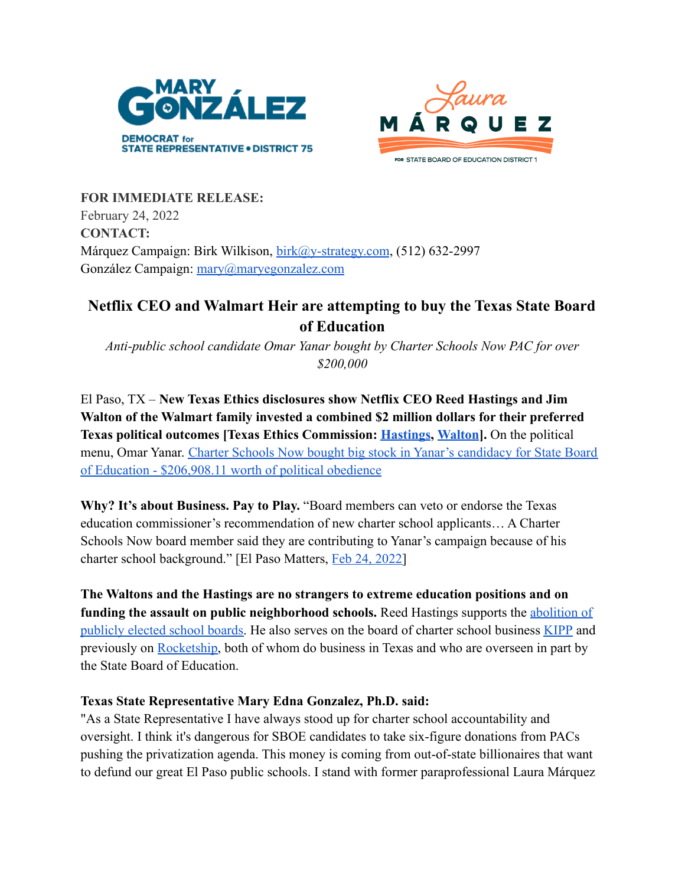



**FOR IMMEDIATE RELEASE:** February 24, 2022 **CONTACT:** Márquez Campaign: Birk Wilkison, [birk@y-strategy.com](mailto:birk@y-strategy.com), (512) 632-2997 González Campaign: [mary@maryegonzalez.com](mailto:mary@maryegonzalez.com)

## **Netflix CEO and Walmart Heir are attempting to buy the Texas State Board of Education**

*Anti-public school candidate Omar Yanar bought by Charter Schools Now PAC for over \$200,000*

El Paso, TX – **New Texas Ethics disclosures show Netflix CEO Reed Hastings and Jim Walton of the Walmart family invested a combined \$2 million dollars for their preferred Texas political outcomes [Texas Ethics Commission: [Hastings](http://204.65.203.5/public/100854414.pdf), [Walton](http://204.65.203.5/public/100846041.pdf)].** On the political menu, Omar Yanar. [Charter Schools Now bought big stock](http://204.65.203.5/public/100854665.pdf) in Yanar's candidacy for State Board [of Education - \\$206,908.11 worth of political obedience](http://204.65.203.5/public/100854665.pdf)

**Why? It's about Business. Pay to Play.** "Board members can veto or endorse the Texas education commissioner's recommendation of new charter school applicants… A Charter Schools Now board member said they are contributing to Yanar's campaign because of his charter school background." [El Paso Matters, Feb [24, 2022\]](https://elpasomatters.org/2022/02/24/pro-charter-pac-spends-200k-on-el-paso-state-board-of-education-candidate/)

**The Waltons and the Hastings are no strangers to extreme education positions and on funding the assault on public neighborhood schools.** Reed Hastings supports the [abolition of](https://www.washingtonpost.com/news/answer-sheet/wp/2014/03/14/netflixs-reed-hastings-has-a-big-idea-kill-elected-school-boards/) [publicly elected school boards.](https://www.washingtonpost.com/news/answer-sheet/wp/2014/03/14/netflixs-reed-hastings-has-a-big-idea-kill-elected-school-boards/) He also serves on the board of charter school business [KIPP](https://www.kipp.org/board-of-director/reed-hastings/) and previously on [Rocketship,](https://www.salon.com/2016/10/15/despite-sub-par-results-netflix-ceo-reed-hastings-still-pushes-for-charter-schools_partner/) both of whom do business in Texas and who are overseen in part by the State Board of Education.

## **Texas State Representative Mary Edna Gonzalez, Ph.D. said:**

"As a State Representative I have always stood up for charter school accountability and oversight. I think it's dangerous for SBOE candidates to take six-figure donations from PACs pushing the privatization agenda. This money is coming from out-of-state billionaires that want to defund our great El Paso public schools. I stand with former paraprofessional Laura Márquez